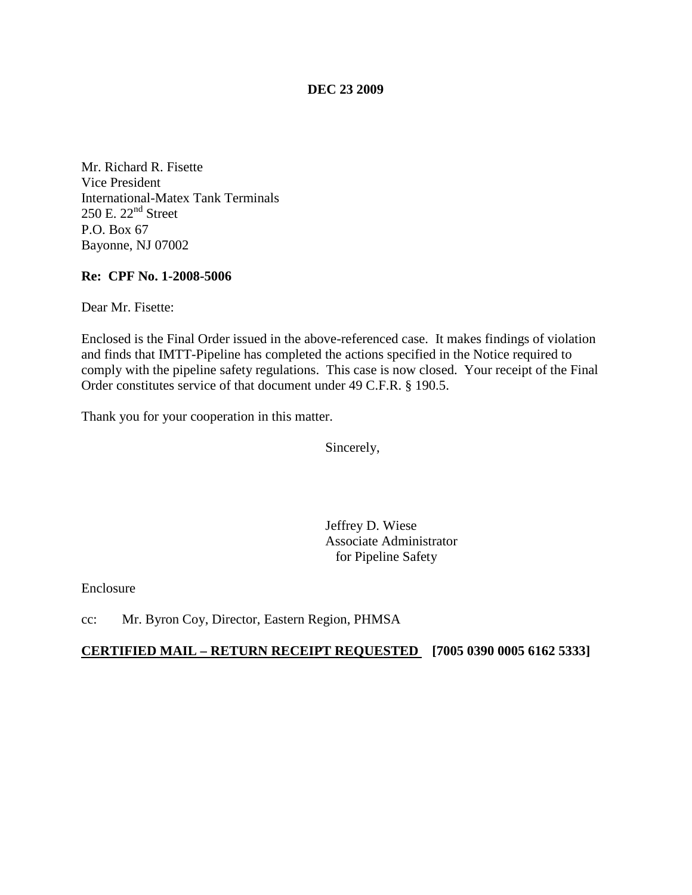**DEC 23 2009**

Mr. Richard R. Fisette Vice President International-Matex Tank Terminals  $250$  E.  $22<sup>nd</sup>$  Street P.O. Box 67 Bayonne, NJ 07002

#### **Re: CPF No. 1-2008-5006**

Dear Mr. Fisette:

Enclosed is the Final Order issued in the above-referenced case. It makes findings of violation and finds that IMTT-Pipeline has completed the actions specified in the Notice required to comply with the pipeline safety regulations. This case is now closed. Your receipt of the Final Order constitutes service of that document under 49 C.F.R. § 190.5.

Thank you for your cooperation in this matter.

Sincerely,

Jeffrey D. Wiese Associate Administrator for Pipeline Safety

Enclosure

cc: Mr. Byron Coy, Director, Eastern Region, PHMSA

#### **CERTIFIED MAIL – RETURN RECEIPT REQUESTED [7005 0390 0005 6162 5333]**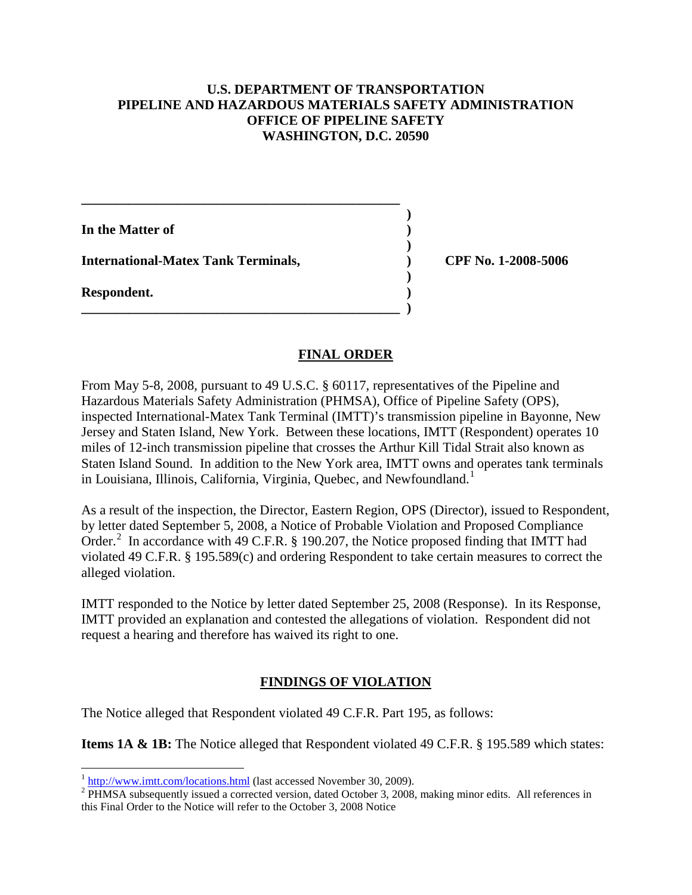### **U.S. DEPARTMENT OF TRANSPORTATION PIPELINE AND HAZARDOUS MATERIALS SAFETY ADMINISTRATION OFFICE OF PIPELINE SAFETY WASHINGTON, D.C. 20590**

**)**

**In the Matter of ) ) International-Matex Tank Terminals, ) CPF No. 1-2008-5006 ) Respondent. ) \_\_\_\_\_\_\_\_\_\_\_\_\_\_\_\_\_\_\_\_\_\_\_\_\_\_\_\_\_\_\_\_\_\_\_\_\_\_\_\_\_\_\_\_\_\_\_ )**

**\_\_\_\_\_\_\_\_\_\_\_\_\_\_\_\_\_\_\_\_\_\_\_\_\_\_\_\_\_\_\_\_\_\_\_\_\_\_\_\_\_\_\_\_\_\_\_**

### **FINAL ORDER**

From May 5-8, 2008, pursuant to 49 U.S.C. § 60117, representatives of the Pipeline and Hazardous Materials Safety Administration (PHMSA), Office of Pipeline Safety (OPS), inspected International-Matex Tank Terminal (IMTT)'s transmission pipeline in Bayonne, New Jersey and Staten Island, New York. Between these locations, IMTT (Respondent) operates 10 miles of 12-inch transmission pipeline that crosses the Arthur Kill Tidal Strait also known as Staten Island Sound. In addition to the New York area, IMTT owns and operates tank terminals in Louisiana, Illinois, California, Virginia, Quebec, and Newfoundland.<sup>[1](#page-1-0)</sup>

As a result of the inspection, the Director, Eastern Region, OPS (Director), issued to Respondent, by letter dated September 5, 2008, a Notice of Probable Violation and Proposed Compliance Order.<sup>[2](#page-1-1)</sup> In accordance with 49 C.F.R. § 190.207, the Notice proposed finding that IMTT had violated 49 C.F.R. § 195.589(c) and ordering Respondent to take certain measures to correct the alleged violation.

IMTT responded to the Notice by letter dated September 25, 2008 (Response). In its Response, IMTT provided an explanation and contested the allegations of violation. Respondent did not request a hearing and therefore has waived its right to one.

# **FINDINGS OF VIOLATION**

The Notice alleged that Respondent violated 49 C.F.R. Part 195, as follows:

**Items 1A & 1B:** The Notice alleged that Respondent violated 49 C.F.R. § 195.589 which states:

<span id="page-1-1"></span><span id="page-1-0"></span> $\frac{1}{2}$  http://www.imtt.com/locations.html [\(](http://www.imtt.com/locations.html)last accessed November 30, 2009).<br><sup>2</sup> PHMSA subsequently issued a corrected version, dated October 3, 2008, making minor edits. All references in this Final Order to the Notice will refer to the October 3, 2008 Notice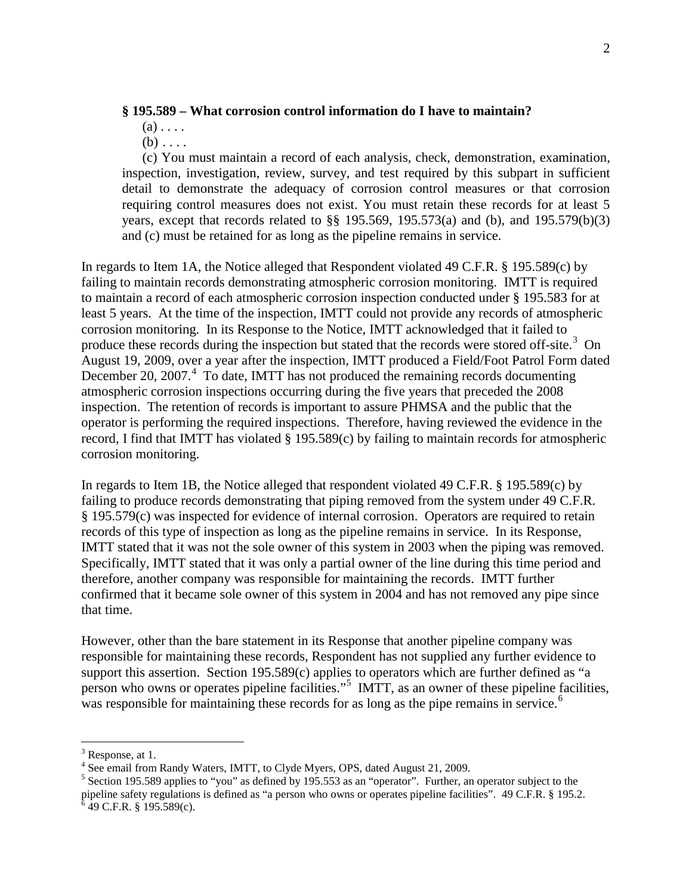#### **§ 195.589 – What corrosion control information do I have to maintain?**

- $(a)$ ...
- $(b) \ldots$

(c) You must maintain a record of each analysis, check, demonstration, examination, inspection, investigation, review, survey, and test required by this subpart in sufficient detail to demonstrate the adequacy of corrosion control measures or that corrosion requiring control measures does not exist. You must retain these records for at least 5 years, except that records related to §§ 195.569, 195.573(a) and (b), and 195.579(b)(3) and (c) must be retained for as long as the pipeline remains in service.

In regards to Item 1A, the Notice alleged that Respondent violated 49 C.F.R. § 195.589(c) by failing to maintain records demonstrating atmospheric corrosion monitoring. IMTT is required to maintain a record of each atmospheric corrosion inspection conducted under § 195.583 for at least 5 years. At the time of the inspection, IMTT could not provide any records of atmospheric corrosion monitoring. In its Response to the Notice, IMTT acknowledged that it failed to produce these records during the inspection but stated that the records were stored off-site.<sup>[3](#page-2-0)</sup> On August 19, 2009, over a year after the inspection, IMTT produced a Field/Foot Patrol Form dated December 20, 2007.<sup>[4](#page-2-1)</sup> To date, IMTT has not produced the remaining records documenting atmospheric corrosion inspections occurring during the five years that preceded the 2008 inspection. The retention of records is important to assure PHMSA and the public that the operator is performing the required inspections. Therefore, having reviewed the evidence in the record, I find that IMTT has violated § 195.589(c) by failing to maintain records for atmospheric corrosion monitoring.

In regards to Item 1B, the Notice alleged that respondent violated 49 C.F.R. § 195.589(c) by failing to produce records demonstrating that piping removed from the system under 49 C.F.R. § 195.579(c) was inspected for evidence of internal corrosion. Operators are required to retain records of this type of inspection as long as the pipeline remains in service. In its Response, IMTT stated that it was not the sole owner of this system in 2003 when the piping was removed. Specifically, IMTT stated that it was only a partial owner of the line during this time period and therefore, another company was responsible for maintaining the records. IMTT further confirmed that it became sole owner of this system in 2004 and has not removed any pipe since that time.

However, other than the bare statement in its Response that another pipeline company was responsible for maintaining these records, Respondent has not supplied any further evidence to support this assertion. Section 195.589(c) applies to operators which are further defined as "a person who owns or operates pipeline facilities."<sup>[5](#page-2-2)</sup> IMTT, as an owner of these pipeline facilities, was responsible for maintaining these records for as long as the pipe remains in service.<sup>[6](#page-2-3)</sup>

<span id="page-2-0"></span> $3$  Response, at 1.

<span id="page-2-1"></span><sup>&</sup>lt;sup>4</sup> See email from Randy Waters, IMTT, to Clyde Myers, OPS, dated August 21, 2009.

<span id="page-2-3"></span><span id="page-2-2"></span><sup>&</sup>lt;sup>5</sup> Section 195.589 applies to "you" as defined by 195.553 as an "operator". Further, an operator subject to the pipeline safety regulations is defined as "a person who owns or operates pipeline facilities". 49 C.F.R. § 195.2.  $6\overline{4}9$  C.F.R. § 195.589(c).